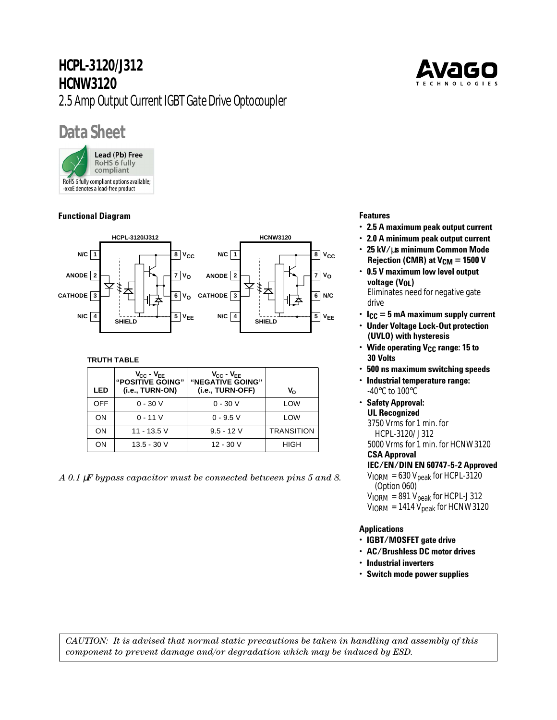# **HCPL-3120/J312 HCNW3120** 2.5 Amp Output Current IGBT Gate Drive Optocoupler

# **Data Sheet**

Lead (Pb) Free **RoHS 6 fully** compliant RoHS 6 fully compliant options available; -xxxE denotes a lead-free product

# **Functional Diagram**



# **TRUTH TABLE**

| LED        | $V_{CC} - V_{EE}$<br>"POSITIVE GOING"<br>(i.e., TURN-ON) | $V_{CC} - V_{EE}$<br>"NEGATIVE GOING"<br>(i.e., TURN-OFF) | v.          |
|------------|----------------------------------------------------------|-----------------------------------------------------------|-------------|
| <b>OFF</b> | $0 - 30 V$                                               | $0 - 30 V$                                                | LOW         |
| ON         | $0 - 11V$                                                | $0 - 9.5$ V                                               | LOW         |
| ON         | 11 - 13.5 V                                              | $9.5 - 12$ V                                              | TRANSITION  |
| OΝ         | $13.5 - 30$ V                                            | 12 - 30 V                                                 | <b>HIGH</b> |

*A 0.1* µ*F bypass capacitor must be connected between pins 5 and 8.*



# **Features**

- **2.5 A maximum peak output current**
- **2.0 A minimum peak output current**
- **25 kV/**µ**s minimum Common Mode Rejection (CMR) at V<sub>CM</sub> = 1500 V**
- **0.5 V maximum low level output voltage (V<sub>OL</sub>)**

Eliminates need for negative gate drive

- **ICC = 5 mA maximum supply current**
- **Under Voltage Lock-Out protection (UVLO) with hysteresis**
- **Wide operating V<sub>CC</sub> range: 15 to 30 Volts**
- **500 ns maximum switching speeds**
- **Industrial temperature range:** -40°C to 100°C
- **Safety Approval: UL Recognized**

3750 Vrms for 1 min. for HCPL-3120/J312

5000 Vrms for 1 min. for HCNW3120

# **CSA Approval**

**IEC/EN/DIN EN 60747-5-2 Approved**  $V<sub>IORM</sub> = 630 V<sub>peak</sub>$  for HCPL-3120 (Option 060)  $V_{IORM} = 891 V_{peak}$  for HCPL-J312  $V_{IORM}$  = 1414  $V_{peak}$  for HCNW3120

# **Applications**

- **IGBT/MOSFET gate drive**
- **AC/Brushless DC motor drives**
- **Industrial inverters**
- **Switch mode power supplies**

*CAUTION: It is advised that normal static precautions be taken in handling and assembly of this component to prevent damage and/or degradation which may be induced by ESD.*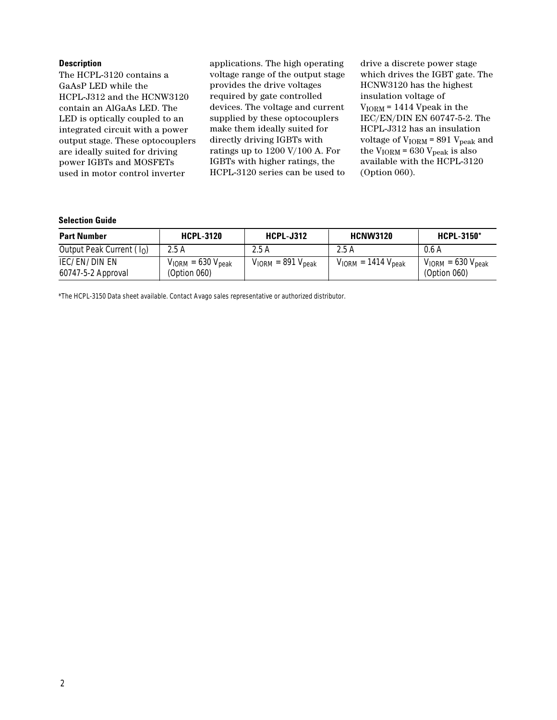#### **Description**

The HCPL-3120 contains a GaAsP LED while the HCPL-J312 and the HCNW3120 contain an AlGaAs LED. The LED is optically coupled to an integrated circuit with a power output stage. These optocouplers are ideally suited for driving power IGBTs and MOSFETs used in motor control inverter

applications. The high operating voltage range of the output stage provides the drive voltages required by gate controlled devices. The voltage and current supplied by these optocouplers make them ideally suited for directly driving IGBTs with ratings up to 1200 V/100 A. For IGBTs with higher ratings, the HCPL-3120 series can be used to drive a discrete power stage which drives the IGBT gate. The HCNW3120 has the highest insulation voltage of  $V_{IORM}$  = 1414 Vpeak in the IEC/EN/DIN EN 60747-5-2. The HCPL-J312 has an insulation voltage of  $V_{\text{IORM}}$  = 891  $V_{\text{peak}}$  and the  $V_{IORM}$  = 630  $V_{peak}$  is also available with the HCPL-3120 (Option 060).

#### **Selection Guide**

| <b>Part Number</b>                  | <b>HCPL-3120</b>                          | <b>HCPL-J312</b>          | <b>HCNW3120</b>            | <b>HCPL-3150*</b>                         |
|-------------------------------------|-------------------------------------------|---------------------------|----------------------------|-------------------------------------------|
| Output Peak Current $(I0)$          | 2.5 A                                     | 2.5 A                     | 2.5A                       | 0.6 A                                     |
| IEC/EN/DIN EN<br>60747-5-2 Approval | $V_{IORM} = 630 V_{peak}$<br>(Option 060) | $V_{IORM} = 891 V_{peak}$ | $V_{IORM} = 1414 V_{peak}$ | $V_{IORM} = 630 V_{peak}$<br>(Option 060) |

\*The HCPL-3150 Data sheet available. Contact Avago sales representative or authorized distributor.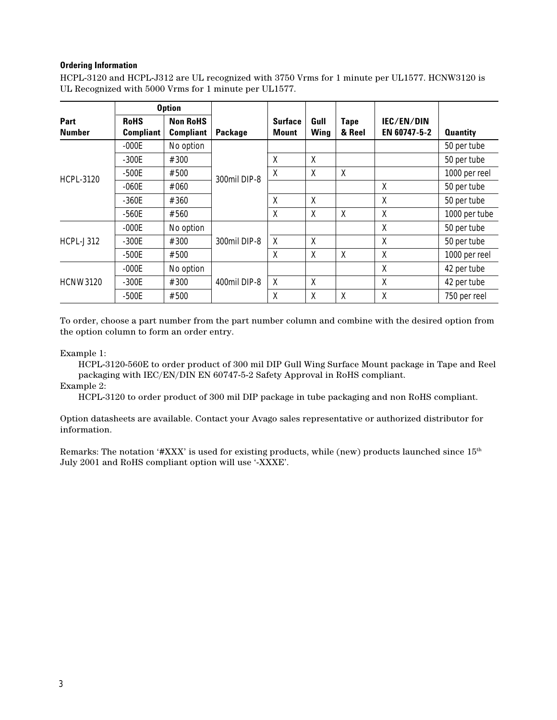## **Ordering Information**

HCPL-3120 and HCPL-J312 are UL recognized with 3750 Vrms for 1 minute per UL1577. HCNW3120 is UL Recognized with 5000 Vrms for 1 minute per UL1577.

|                       |                                 | <b>Option</b>                       |              |                         |              |                |                            |                 |
|-----------------------|---------------------------------|-------------------------------------|--------------|-------------------------|--------------|----------------|----------------------------|-----------------|
| Part<br><b>Number</b> | <b>RoHS</b><br><b>Compliant</b> | <b>Non RoHS</b><br><b>Compliant</b> | Package      | <b>Surface</b><br>Mount | Gull<br>Wing | Tape<br>& Reel | IEC/EN/DIN<br>EN 60747-5-2 | <b>Quantity</b> |
|                       | $-000E$                         | No option                           |              |                         |              |                |                            | 50 per tube     |
|                       | $-300E$                         | #300                                |              | X                       | X            |                |                            | 50 per tube     |
| <b>HCPL-3120</b>      | $-500E$                         | #500                                | 300mil DIP-8 | X                       | X            | X              |                            | 1000 per reel   |
|                       | $-060E$                         | #060                                |              |                         |              |                | χ                          | 50 per tube     |
|                       | $-360E$                         | #360                                |              | X                       | X            |                | Χ                          | 50 per tube     |
|                       | -560E                           | #560                                |              | X                       | X            | X              | Χ                          | 1000 per tube   |
|                       | $-000E$                         | No option                           |              |                         |              |                | Χ                          | 50 per tube     |
| $H$ CPL-J312          | $-300E$                         | #300                                | 300mil DIP-8 | X                       | X            |                | Χ                          | 50 per tube     |
|                       | $-500E$                         | #500                                |              | X                       | X            | X              | χ                          | 1000 per reel   |
|                       | $-000E$                         | No option                           |              |                         |              |                | X                          | 42 per tube     |
| <b>HCNW3120</b>       | $-300E$                         | #300                                | 400mil DIP-8 | X                       | X            |                | X                          | 42 per tube     |
|                       | $-500E$                         | #500                                |              | X                       | X            | X              | X                          | 750 per reel    |

To order, choose a part number from the part number column and combine with the desired option from the option column to form an order entry.

#### Example 1:

HCPL-3120-560E to order product of 300 mil DIP Gull Wing Surface Mount package in Tape and Reel packaging with IEC/EN/DIN EN 60747-5-2 Safety Approval in RoHS compliant.

Example 2:

HCPL-3120 to order product of 300 mil DIP package in tube packaging and non RoHS compliant.

Option datasheets are available. Contact your Avago sales representative or authorized distributor for information.

Remarks: The notation '#XXX' is used for existing products, while (new) products launched since  $15<sup>th</sup>$ July 2001 and RoHS compliant option will use '-XXXE'.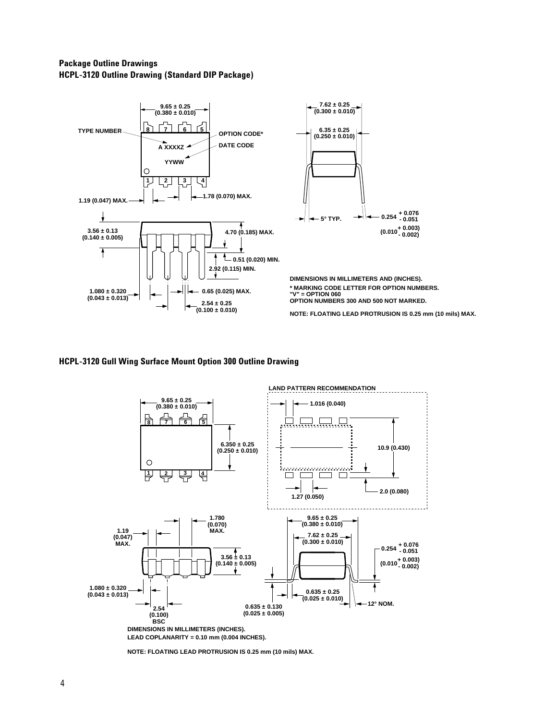# **Package Outline Drawings HCPL-3120 Outline Drawing (Standard DIP Package)**



#### **HCPL-3120 Gull Wing Surface Mount Option 300 Outline Drawing**



**NOTE: FLOATING LEAD PROTRUSION IS 0.25 mm (10 mils) MAX.**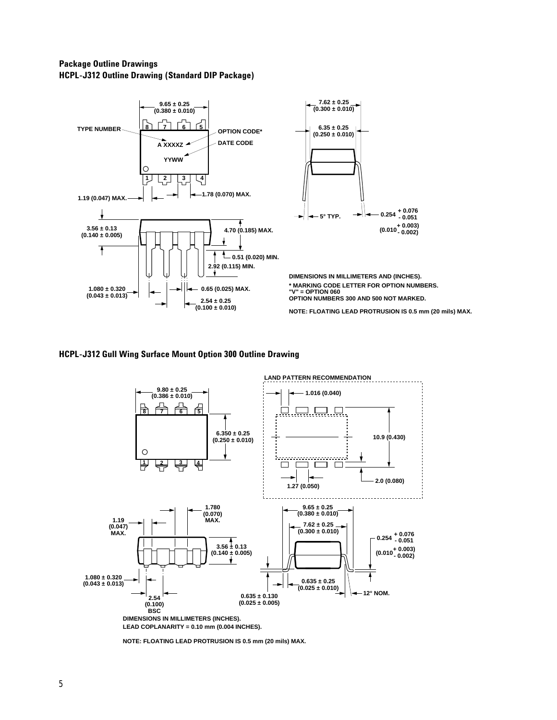# **Package Outline Drawings HCPL-J312 Outline Drawing (Standard DIP Package)**



#### **HCPL-J312 Gull Wing Surface Mount Option 300 Outline Drawing**



**NOTE: FLOATING LEAD PROTRUSION IS 0.5 mm (20 mils) MAX.**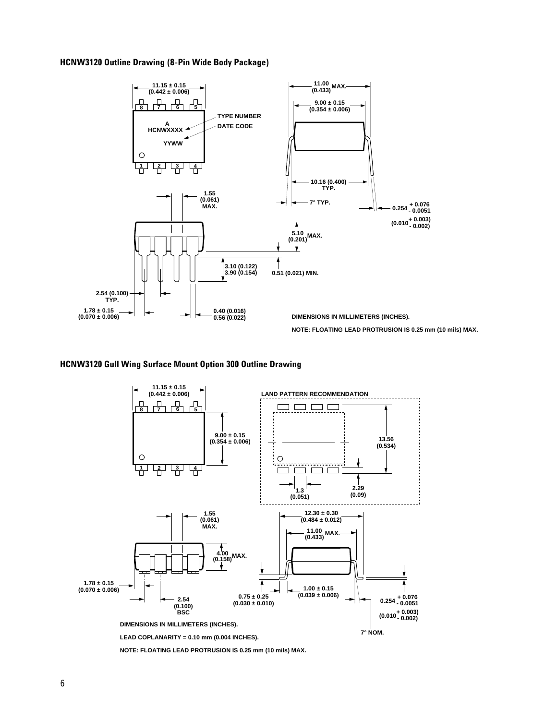#### **HCNW3120 Outline Drawing (8-Pin Wide Body Package)**



#### **HCNW3120 Gull Wing Surface Mount Option 300 Outline Drawing**



**NOTE: FLOATING LEAD PROTRUSION IS 0.25 mm (10 mils) MAX.**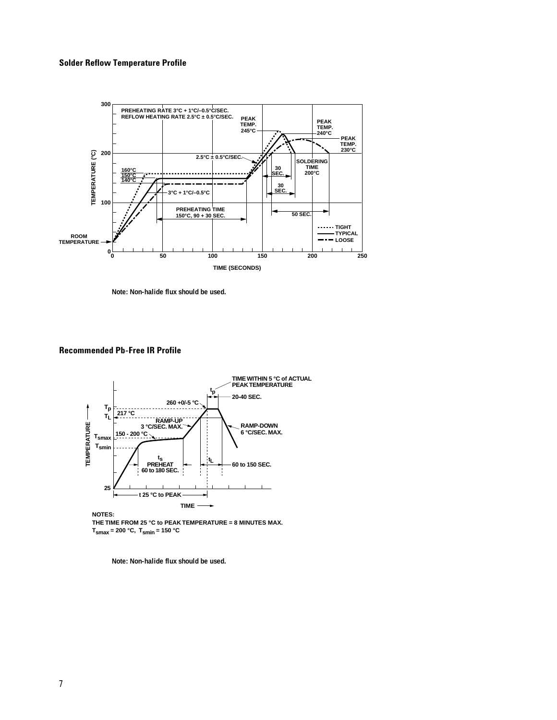#### **Solder Reflow Temperature Profile**



**Note: Non-halide flux should be used.**

#### **Recommended Pb-Free IR Profile**



**NOTES: THE TIME FROM 25 °C to PEAK TEMPERATURE = 8 MINUTES MAX.**  $T_{\text{smax}} = 200 \text{ °C}, T_{\text{smin}} = 150 \text{ °C}$ 

**Note: Non-halide flux should be used.**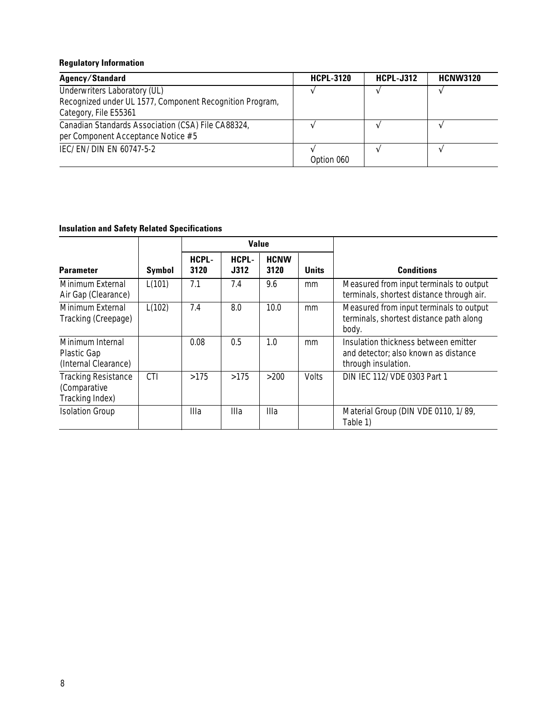## **Regulatory Information**

| Agency/Standard                                                                                                   | <b>HCPL-3120</b> | <b>HCPL-J312</b> | <b>HCNW3120</b> |
|-------------------------------------------------------------------------------------------------------------------|------------------|------------------|-----------------|
| Underwriters Laboratory (UL)<br>Recognized under UL 1577, Component Recognition Program,<br>Category, File E55361 |                  |                  |                 |
| Canadian Standards Association (CSA) File CA88324,<br>per Component Acceptance Notice #5                          |                  |                  |                 |
| IEC/EN/DIN EN 60747-5-2                                                                                           | Option 060       |                  |                 |

# **Insulation and Safety Related Specifications**

|                                                               |               |               | <b>Value</b>  |                     |              |                                                                                                     |
|---------------------------------------------------------------|---------------|---------------|---------------|---------------------|--------------|-----------------------------------------------------------------------------------------------------|
| <b>Parameter</b>                                              | <b>Symbol</b> | HCPL-<br>3120 | HCPL-<br>J312 | <b>HCNW</b><br>3120 | <b>Units</b> | <b>Conditions</b>                                                                                   |
| Minimum External<br>Air Gap (Clearance)                       | L(101)        | 7.1           | 7.4           | 9.6                 | mm           | Measured from input terminals to output<br>terminals, shortest distance through air.                |
| Minimum External<br>Tracking (Creepage)                       | L(102)        | 7.4           | 8.0           | 10.0                | mm           | Measured from input terminals to output<br>terminals, shortest distance path along<br>body.         |
| Minimum Internal<br>Plastic Gap<br>(Internal Clearance)       |               | 0.08          | 0.5           | 1.0                 | mm           | Insulation thickness between emitter<br>and detector; also known as distance<br>through insulation. |
| <b>Tracking Resistance</b><br>(Comparative<br>Tracking Index) | <b>CTI</b>    | >175          | >175          | >200                | <b>Volts</b> | DIN IEC 112/VDE 0303 Part 1                                                                         |
| <b>Isolation Group</b>                                        |               | Illa          | Illa          | Illa                |              | Material Group (DIN VDE 0110, 1/89,<br>Table 1)                                                     |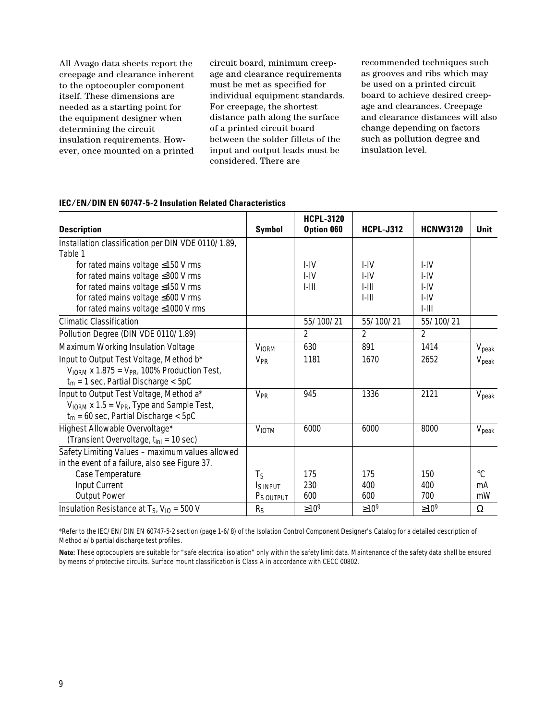All Avago data sheets report the creepage and clearance inherent to the optocoupler component itself. These dimensions are needed as a starting point for the equipment designer when determining the circuit insulation requirements. However, once mounted on a printed

circuit board, minimum creepage and clearance requirements must be met as specified for individual equipment standards. For creepage, the shortest distance path along the surface of a printed circuit board between the solder fillets of the input and output leads must be considered. There are

recommended techniques such as grooves and ribs which may be used on a printed circuit board to achieve desired creepage and clearances. Creepage and clearance distances will also change depending on factors such as pollution degree and insulation level.

#### **IEC/EN/DIN EN 60747-5-2 Insulation Related Characteristics**

|                                                       |                       | <b>HCPL-3120</b> |                  |                 |                   |
|-------------------------------------------------------|-----------------------|------------------|------------------|-----------------|-------------------|
| <b>Description</b>                                    | <b>Symbol</b>         | Option 060       | <b>HCPL-J312</b> | <b>HCNW3120</b> | Unit              |
| Installation classification per DIN VDE 0110/1.89,    |                       |                  |                  |                 |                   |
| Table 1                                               |                       |                  |                  |                 |                   |
| for rated mains voltage ≤150 V rms                    |                       | I-IV             | $I - IV$         | I-IV            |                   |
| for rated mains voltage ≤300 V rms                    |                       | I-IV             | I-IV             | I-IV            |                   |
| for rated mains voltage ≤450 V rms                    |                       | $1 - 111$        | $1 - 111$        | I-IV            |                   |
| for rated mains voltage $\leq 600$ V rms              |                       |                  | $1-111$          | I-IV            |                   |
| for rated mains voltage ≤1000 V rms                   |                       |                  |                  | $1-111$         |                   |
| <b>Climatic Classification</b>                        |                       | 55/100/21        | 55/100/21        | 55/100/21       |                   |
| Pollution Degree (DIN VDE 0110/1.89)                  |                       | $\overline{2}$   | $\overline{2}$   | $\overline{2}$  |                   |
| Maximum Working Insulation Voltage                    | <b>VIORM</b>          | 630              | 891              | 1414            | $V_{\text{peak}}$ |
| Input to Output Test Voltage, Method b*               | <b>V<sub>PR</sub></b> | 1181             | 1670             | 2652            | $V_{\rm peak}$    |
| $V_{IORM}$ x 1.875 = $V_{PR}$ , 100% Production Test, |                       |                  |                  |                 |                   |
| $t_m = 1$ sec, Partial Discharge < 5pC                |                       |                  |                  |                 |                   |
| Input to Output Test Voltage, Method a*               | <b>V<sub>PR</sub></b> | 945              | 1336             | 2121            | $V_{\rm peak}$    |
| $V_{IORM}$ x 1.5 = $V_{PR}$ , Type and Sample Test,   |                       |                  |                  |                 |                   |
| $t_m = 60$ sec, Partial Discharge < 5pC               |                       |                  |                  |                 |                   |
| Highest Allowable Overvoltage*                        | <b>VIOTM</b>          | 6000             | 6000             | 8000            | $V_{\rm peak}$    |
| (Transient Overvoltage, t <sub>ini</sub> = 10 sec)    |                       |                  |                  |                 |                   |
| Safety Limiting Values - maximum values allowed       |                       |                  |                  |                 |                   |
| in the event of a failure, also see Figure 37.        |                       |                  |                  |                 |                   |
| Case Temperature                                      | Τς                    | 175              | 175              | 150             | $^{\circ}C$       |
| Input Current                                         | I <sub>S</sub> INPUT  | 230              | 400              | 400             | mA                |
| <b>Output Power</b>                                   | P <sub>S</sub> OUTPUT | 600              | 600              | 700             | mW                |
| Insulation Resistance at $T_S$ , $V_{10} = 500$ V     | R <sub>S</sub>        | $\geq 10^9$      | $\geq 10^9$      | $\geq 10^9$     | Ω                 |

\*Refer to the IEC/EN/DIN EN 60747-5-2 section (page 1-6/8) of the Isolation Control Component Designer's Catalog for a detailed description of Method a/b partial discharge test profiles.

**Note:** These optocouplers are suitable for "safe electrical isolation" only within the safety limit data. Maintenance of the safety data shall be ensured by means of protective circuits. Surface mount classification is Class A in accordance with CECC 00802.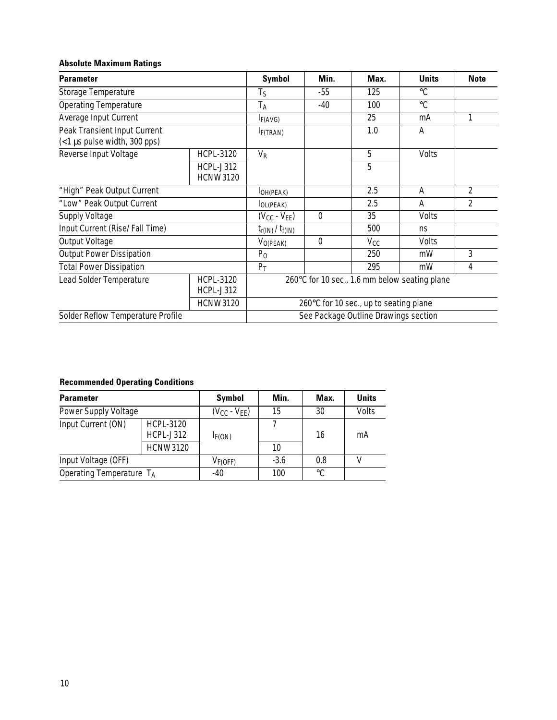## **Absolute Maximum Ratings**

| <b>Parameter</b>                                                                   | <b>Symbol</b>                        | Min.                                          | Max.             | <b>Units</b> | <b>Note</b>     |   |  |
|------------------------------------------------------------------------------------|--------------------------------------|-----------------------------------------------|------------------|--------------|-----------------|---|--|
| Storage Temperature                                                                |                                      | $T_S$                                         | $-55$            | 125          | $\rm ^{\circ}C$ |   |  |
| <b>Operating Temperature</b>                                                       |                                      | T <sub>A</sub>                                | -40              | 100          | $^{\circ}C$     |   |  |
| Average Input Current                                                              |                                      | I <sub>F</sub> (AVG)                          |                  | 25           | mA              | 1 |  |
| Peak Transient Input Current<br>(<1 µs pulse width, 300 pps)                       | I <sub>F</sub> (TRAN)                |                                               | 1.0              | Α            |                 |   |  |
| Reverse Input Voltage                                                              | <b>HCPL-3120</b>                     | $V_R$                                         |                  | 5            | Volts           |   |  |
|                                                                                    | HCPL-J312<br><b>HCNW3120</b>         |                                               |                  | 5            |                 |   |  |
| "High" Peak Output Current                                                         |                                      | OH(PEAK)                                      |                  | 2.5          | A               | 2 |  |
| "Low" Peak Output Current                                                          |                                      | IOL(PEAK)                                     |                  | 2.5          | A               | 2 |  |
| <b>Supply Voltage</b>                                                              |                                      | $(V_{CC} - V_{EE})$                           | $\boldsymbol{0}$ | 35           | Volts           |   |  |
| Input Current (Rise/Fall Time)                                                     |                                      | $t_{r(IN)}$ / $t_{f(IN)}$                     |                  | 500          | ns              |   |  |
| <b>Output Voltage</b>                                                              |                                      | $V_{O(PEAK)}$                                 | $\boldsymbol{0}$ | $V_{CC}$     | Volts           |   |  |
| <b>Output Power Dissipation</b>                                                    |                                      | P <sub>0</sub>                                |                  | 250          | mW              | 3 |  |
| <b>Total Power Dissipation</b>                                                     |                                      | $P_T$                                         |                  | 295          | mW              | 4 |  |
| Lead Solder Temperature<br><b>HCPL-3120</b><br><b>HCPL-J312</b><br><b>HCNW3120</b> |                                      | 260°C for 10 sec., 1.6 mm below seating plane |                  |              |                 |   |  |
|                                                                                    |                                      | 260°C for 10 sec., up to seating plane        |                  |              |                 |   |  |
| Solder Reflow Temperature Profile                                                  | See Package Outline Drawings section |                                               |                  |              |                 |   |  |

# **Recommended Operating Conditions**

| <b>Parameter</b>                                           | <b>Symbol</b>   | Min.                | Max.   | <b>Units</b> |       |  |
|------------------------------------------------------------|-----------------|---------------------|--------|--------------|-------|--|
| Power Supply Voltage                                       |                 | $(V_{CC} - V_{EE})$ | 15     | 30           | Volts |  |
| Input Current (ON)<br><b>HCPL-3120</b><br><b>HCPL-J312</b> |                 | I <sub>F</sub> (ON) | 16     |              | mA    |  |
|                                                            | <b>HCNW3120</b> |                     | 10     |              |       |  |
| Input Voltage (OFF)                                        |                 | $V_{F(OFF)}$        | $-3.6$ | 0.8          |       |  |
| Operating Temperature TA                                   |                 | $-40$               | 100    | °C           |       |  |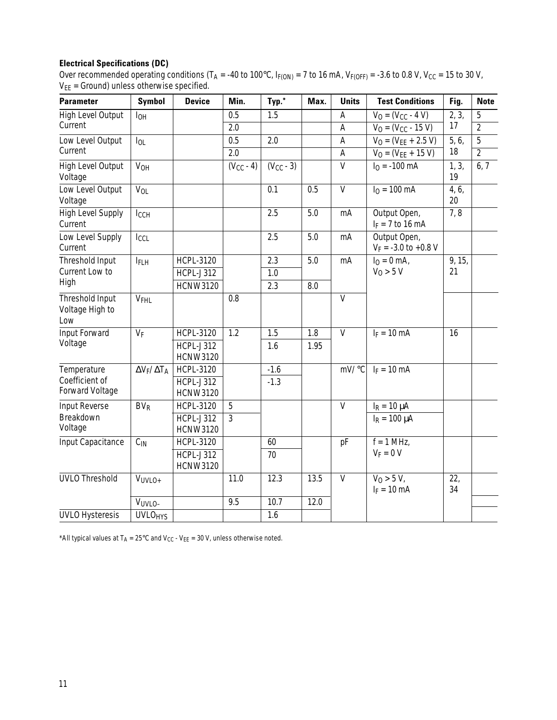# **Electrical Specifications (DC)**

Over recommended operating conditions (T<sub>A</sub> = -40 to 100°C,  $I_{F(ON)} = 7$  to 16 mA,  $V_{F(OFF)} = -3.6$  to 0.8 V, V<sub>CC</sub> = 15 to 30 V,  $V_{EE}$  = Ground) unless otherwise specified.

| <b>Parameter</b>                          | <b>Symbol</b>             | <b>Device</b>                       | Min.           | Typ.*          | Max. | <b>Units</b>              | <b>Test Conditions</b>                   | Fig.        | <b>Note</b>    |
|-------------------------------------------|---------------------------|-------------------------------------|----------------|----------------|------|---------------------------|------------------------------------------|-------------|----------------|
| <b>High Level Output</b>                  | <b>I</b> OH               |                                     | 0.5            | 1.5            |      | A                         | $V_0 = (V_{CC} - 4 V)$                   | 2, 3,       | 5              |
| Current                                   |                           |                                     | 2.0            |                |      | A                         | $V_0 = (V_{CC} - 15 V)$                  | 17          | $\overline{2}$ |
| Low Level Output                          | $I_{OL}$                  |                                     | 0.5            | 2.0            |      | $\boldsymbol{\mathsf{A}}$ | $V_0 = (V_{EE} + 2.5 V)$                 | 5, 6,       | $\overline{5}$ |
| Current                                   |                           |                                     | 2.0            |                |      | A                         | $V_0 = (V_{EE} + 15 V)$                  | 18          | $\overline{2}$ |
| <b>High Level Output</b><br>Voltage       | <b>V<sub>OH</sub></b>     |                                     | $(V_{CC} - 4)$ | $(V_{CC} - 3)$ |      | $\overline{V}$            | $I0 = -100$ mA                           | 1, 3,<br>19 | 6, 7           |
| Low Level Output<br>Voltage               | <b>V<sub>OL</sub></b>     |                                     |                | 0.1            | 0.5  | $\overline{V}$            | $I_0 = 100 \text{ mA}$                   | 4, 6,<br>20 |                |
| <b>High Level Supply</b><br>Current       | IccH                      |                                     |                | 2.5            | 5.0  | mA                        | Output Open,<br>$I_F = 7$ to 16 mA       | 7,8         |                |
| Low Level Supply<br>Current               | IccL                      |                                     |                | 2.5            | 5.0  | mA                        | Output Open,<br>$V_F = -3.0$ to $+0.8$ V |             |                |
| Threshold Input                           | <b>IFLH</b>               | <b>HCPL-3120</b>                    |                | 2.3            | 5.0  | mA                        | $I_0 = 0$ mA,                            | 9, 15,      |                |
| Current Low to                            |                           | <b>HCPL-J312</b>                    |                | 1.0            |      |                           | $V_0 > 5 V$                              | 21          |                |
| High                                      |                           | <b>HCNW3120</b>                     |                | 2.3            | 8.0  |                           |                                          |             |                |
| Threshold Input<br>Voltage High to<br>Low | V <sub>FHL</sub>          |                                     | 0.8            |                |      | $\mathsf{V}$              |                                          |             |                |
| Input Forward                             | $V_F$                     | <b>HCPL-3120</b>                    | 1.2            | 1.5            | 1.8  | $\overline{V}$            | $I_F = 10$ mA                            | 16          |                |
| Voltage                                   |                           | <b>HCPL-J312</b><br><b>HCNW3120</b> |                | 1.6            | 1.95 |                           |                                          |             |                |
| Temperature                               | $\Delta V_F / \Delta T_A$ | <b>HCPL-3120</b>                    |                | $-1.6$         |      | mV/°C                     | $I_F = 10$ mA                            |             |                |
| Coefficient of<br><b>Forward Voltage</b>  |                           | <b>HCPL-J312</b><br><b>HCNW3120</b> |                | $-1.3$         |      |                           |                                          |             |                |
| <b>Input Reverse</b>                      | BV <sub>R</sub>           | <b>HCPL-3120</b>                    | 5              |                |      | $\mathsf{V}$              | $I_R = 10 \mu A$                         |             |                |
| Breakdown<br>Voltage                      |                           | <b>HCPL-J312</b><br><b>HCNW3120</b> | $\overline{3}$ |                |      |                           | $I_R = 100 \mu A$                        |             |                |
| Input Capacitance                         | $C_{IN}$                  | <b>HCPL-3120</b>                    |                | 60             |      | pF                        | $f = 1$ MHz,                             |             |                |
|                                           |                           | HCPL-J312<br><b>HCNW3120</b>        |                | 70             |      |                           | $V_F = 0 V$                              |             |                |
| <b>UVLO Threshold</b>                     | VUVLO+                    |                                     | 11.0           | 12.3           | 13.5 | $\mathsf{V}$              | $V_0 > 5 V$<br>$I_F = 10$ mA             | 22,<br>34   |                |
|                                           | VUVLO-                    |                                     | 9.5            | 10.7           | 12.0 |                           |                                          |             |                |
| <b>UVLO Hysteresis</b>                    | <b>UVLOHYS</b>            |                                     |                | 1.6            |      |                           |                                          |             |                |

\*All typical values at  $T_A = 25^{\circ}$ C and  $V_{CC}$  -  $V_{EE} = 30$  V, unless otherwise noted.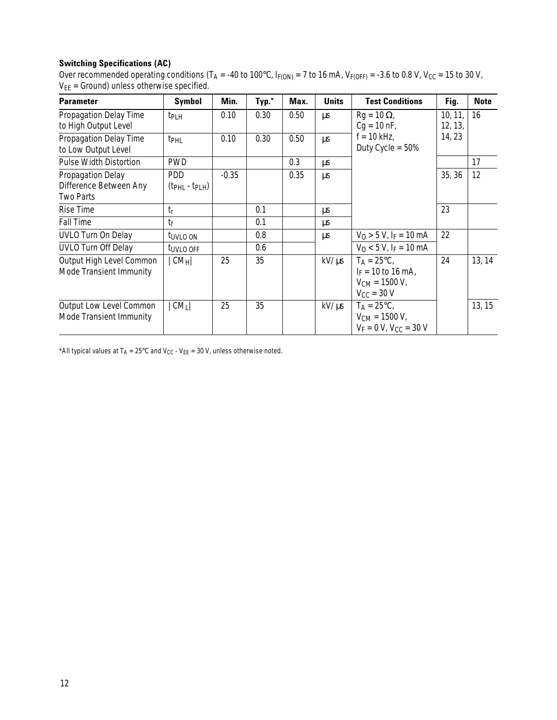# **Switching Specifications (AC)**

Over recommended operating conditions (T<sub>A</sub> = -40 to 100°C, I<sub>F(ON)</sub> = 7 to 16 mA, V<sub>F(OFF)</sub> = -3.6 to 0.8 V, V<sub>CC</sub> = 15 to 30 V,  $V_{EE}$  = Ground) unless otherwise specified.

| <b>Parameter</b>                                                       | Symbol                        | Min.    | Typ.* | Max. | <b>Units</b> | <b>Test Conditions</b>                                                                                | Fig.               | <b>Note</b> |
|------------------------------------------------------------------------|-------------------------------|---------|-------|------|--------------|-------------------------------------------------------------------------------------------------------|--------------------|-------------|
| Propagation Delay Time<br>to High Output Level                         | t <sub>PLH</sub>              | 0.10    | 0.30  | 0.50 | μs           | $Rg = 10 \Omega$<br>$Cg = 10 \text{ nF}$ ,                                                            | 10, 11,<br>12, 13, | 16          |
| Propagation Delay Time<br>to Low Output Level                          | t <sub>PHL</sub>              | 0.10    | 0.30  | 0.50 | μs           | $f = 10$ kHz,<br>Duty Cycle = $50\%$                                                                  | 14, 23             |             |
| <b>Pulse Width Distortion</b>                                          | <b>PWD</b>                    |         |       | 0.3  | μs           |                                                                                                       |                    | 17          |
| <b>Propagation Delay</b><br>Difference Between Any<br><b>Two Parts</b> | <b>PDD</b><br>$(tPHL - tPLH)$ | $-0.35$ |       | 0.35 | <b>us</b>    |                                                                                                       | 35, 36             | 12          |
| <b>Rise Time</b>                                                       | $t_{r}$                       |         | 0.1   |      | μs           |                                                                                                       | 23                 |             |
| <b>Fall Time</b>                                                       | $t_{\mathsf{f}}$              |         | 0.1   |      | μs           |                                                                                                       |                    |             |
| <b>UVLO Turn On Delay</b>                                              | t <sub>UVLO</sub> ON          |         | 0.8   |      | μs           | $V_0 > 5 V$ , I <sub>F</sub> = 10 mA                                                                  | 22                 |             |
| <b>UVLO Turn Off Delay</b>                                             | t <sub>UVLO</sub> OFF         |         | 0.6   |      |              | $V_0$ < 5 V, I <sub>F</sub> = 10 mA                                                                   |                    |             |
| Output High Level Common<br>Mode Transient Immunity                    | $ CM_H $                      | 25      | 35    |      | $kV/ \mu s$  | $T_A = 25^{\circ}C$ ,<br>$I_F = 10$ to 16 mA,<br>$V_{CM} = 1500 V,$<br>$V_{\text{CC}} = 30 \text{ V}$ | 24                 | 13, 14      |
| <b>Output Low Level Common</b><br>Mode Transient Immunity              | CM <sub>L</sub>               | 25      | 35    |      | $kV/ \mu s$  | $T_A = 25^{\circ}C$<br>$V_{CM}$ = 1500 V,<br>$V_F = 0 V$ , $V_{CC} = 30 V$                            |                    | 13, 15      |

\*All typical values at  $T_A = 25^{\circ}$ C and V<sub>CC</sub> - V<sub>EE</sub> = 30 V, unless otherwise noted.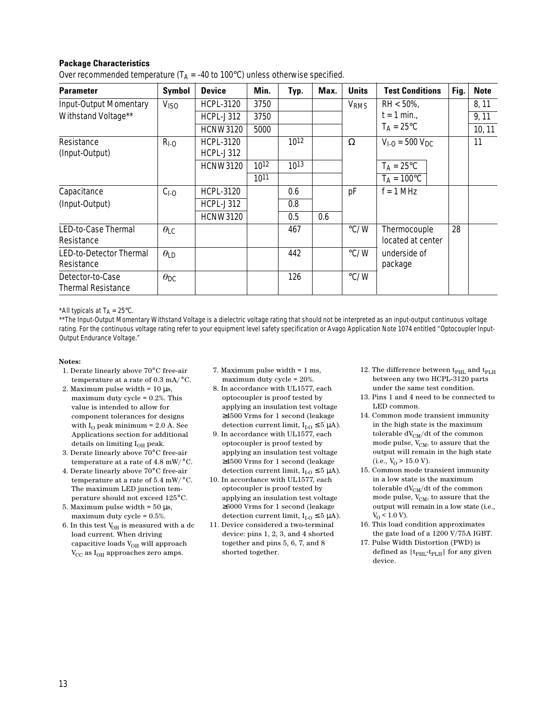### **Package Characteristics**

| <b>Parameter</b>                              | <b>Symbol</b>          | <b>Device</b>                        | Min. | Typ.      | Max. | <b>Units</b>           | <b>Test Conditions</b>            | Fig. | <b>Note</b> |
|-----------------------------------------------|------------------------|--------------------------------------|------|-----------|------|------------------------|-----------------------------------|------|-------------|
| Input-Output Momentary                        | <b>V<sub>ISO</sub></b> | <b>HCPL-3120</b>                     | 3750 |           |      | <b>V<sub>RMS</sub></b> | $RH < 50\%$ ,                     |      | 8, 11       |
| Withstand Voltage**                           |                        | <b>HCPL-J312</b>                     | 3750 |           |      |                        | $t = 1$ min.,                     |      | 9,11        |
|                                               |                        | <b>HCNW3120</b>                      | 5000 |           |      |                        | $T_A = 25^{\circ}C$               |      | 10, 11      |
| Resistance<br>(Input-Output)                  | $R1-0$                 | <b>HCPL-3120</b><br><b>HCPL-J312</b> |      | $10^{12}$ |      | $\Omega$               | $V_{1-O} = 500 V_{DC}$            |      | 11          |
|                                               |                        | <b>HCNW3120</b>                      | 1012 | $10^{13}$ |      |                        | $T_A = 25^{\circ}C$               |      |             |
|                                               |                        |                                      | 1011 |           |      |                        | $T_A = 100^{\circ}C$              |      |             |
| Capacitance                                   | $CI-O$                 | <b>HCPL-3120</b>                     |      | 0.6       |      | pF                     | $f = 1$ MHz                       |      |             |
| (Input-Output)                                |                        | HCPL-J312                            |      | 0.8       |      |                        |                                   |      |             |
|                                               |                        | <b>HCNW3120</b>                      |      | 0.5       | 0.6  |                        |                                   |      |             |
| LED-to-Case Thermal<br>Resistance             | $\theta_{\text{LC}}$   |                                      |      | 467       |      | $\degree$ C/W          | Thermocouple<br>located at center | 28   |             |
| LED-to-Detector Thermal<br>Resistance         | $\theta$ LD            |                                      |      | 442       |      | $\degree$ C/W          | underside of<br>package           |      |             |
| Detector-to-Case<br><b>Thermal Resistance</b> | $\theta$ <sub>DC</sub> |                                      |      | 126       |      | $\degree$ C/W          |                                   |      |             |

Over recommended temperature ( $T_A$  = -40 to 100 $^{\circ}$ C) unless otherwise specified.

\*All typicals at  $T_A = 25^{\circ}C$ .

\*\*The Input-Output Momentary Withstand Voltage is a dielectric voltage rating that should not be interpreted as an input-output continuous voltage rating. For the continuous voltage rating refer to your equipment level safety specification or Avago Application Note 1074 entitled "Optocoupler Input-Output Endurance Voltage."

#### **Notes:**

- 1. Derate linearly above 70°C free-air temperature at a rate of 0.3 mA/ $\rm ^{\circ}C$ .
- 2. Maximum pulse width =  $10 \mu s$ , maximum duty cycle = 0.2%. This value is intended to allow for component tolerances for designs with  $I_0$  peak minimum = 2.0 A. See Applications section for additional details on limiting  $I_{OH}$  peak.
- 3. Derate linearly above 70°C free-air temperature at a rate of 4.8 mW/°C.
- 4. Derate linearly above 70°C free-air temperature at a rate of 5.4 mW/°C. The maximum LED junction temperature should not exceed 125°C.
- 5. Maximum pulse width =  $50 \mu s$ , maximum duty cycle = 0.5%.
- 6. In this test  $\mathrm{V}_{\mathrm{OH}}$  is measured with a dc load current. When driving capacitive loads  $V_{OH}$  will approach  $V_{CC}$  as  $I_{OH}$  approaches zero amps.
- 7. Maximum pulse width = 1 ms, maximum duty cycle = 20%.
- 8. In accordance with UL1577, each optocoupler is proof tested by applying an insulation test voltage ≥4500 Vrms for 1 second (leakage detection current limit,  $I_{I-O} \leq 5 \mu A$ ).
- 9. In accordance with UL1577, each optocoupler is proof tested by applying an insulation test voltage ≥4500 Vrms for 1 second (leakage detection current limit,  $I_{I-O} \leq 5 \mu A$ ).
- 10. In accordance with UL1577, each optocoupler is proof tested by applying an insulation test voltage ≥6000 Vrms for 1 second (leakage detection current limit,  $I_{I_O} \leq 5 \mu A$ ).
- 11. Device considered a two-terminal device: pins 1, 2, 3, and 4 shorted together and pins 5, 6, 7, and 8 shorted together.
- 12. The difference between  ${\rm t_{PHL}}$  and  ${\rm t_{PLH}}$ between any two HCPL-3120 parts under the same test condition.
- 13. Pins 1 and 4 need to be connected to LED common.
- 14. Common mode transient immunity in the high state is the maximum tolerable  $dV_{CM}/dt$  of the common mode pulse,  $V_{CM}$ , to assure that the output will remain in the high state  $(i.e., V<sub>0</sub> > 15.0 V).$
- 15. Common mode transient immunity in a low state is the maximum tolerable  $dV_{CM}/dt$  of the common mode pulse,  $\rm V_{CM},$  to assure that the output will remain in a low state (i.e.,  $V_{O}$  < 1.0 V).
- 16. This load condition approximates the gate load of a 1200 V/75A IGBT.
- 17. Pulse Width Distortion (PWD) is defined as  $|t_{\rm PHL}\hbox{-} t_{\rm PLH}|$  for any given device.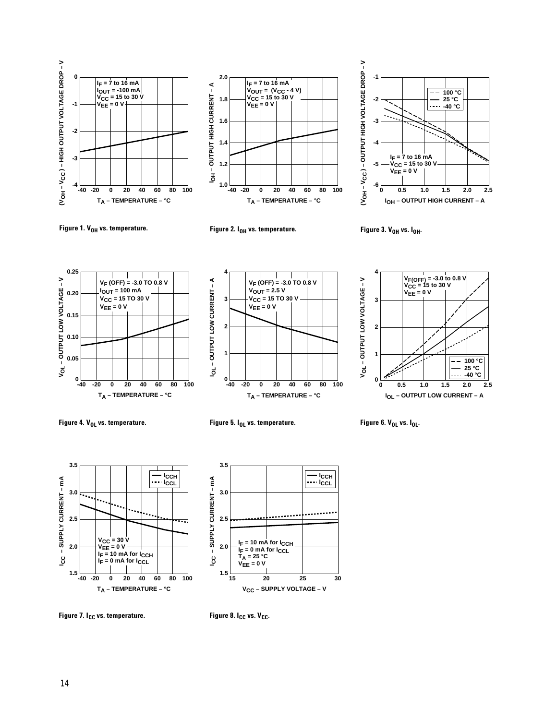





**4**





**VF (OFF) = -3.0 TO 0.8 V**  $V_{\text{OUT}} = 2.5 V$ 



**Figure 4.**  $V_{0L}$  **vs. temperature.** Figure 5. I<sub>OL</sub> vs. temperature. Figure 6. V<sub>OL</sub> vs. I<sub>OL</sub>.





**Figure 7. I<sub>CC</sub> vs. temperature.** Figure 8. I<sub>CC</sub> vs. V<sub>CC</sub>.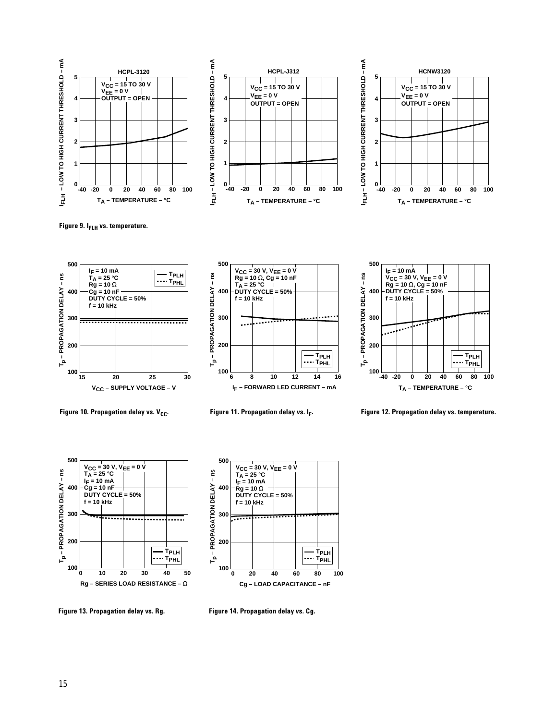





Figure 9. I<sub>FLH</sub> vs. temperature.







Figure 10. Propagation delay vs. V<sub>CC</sub>. Figure 11. Propagation delay vs. I<sub>F</sub>. Figure 12. Propagation delay vs. temperature.





**Figure 13. Propagation delay vs. Rg. Figure 14. Propagation delay vs. Cg.**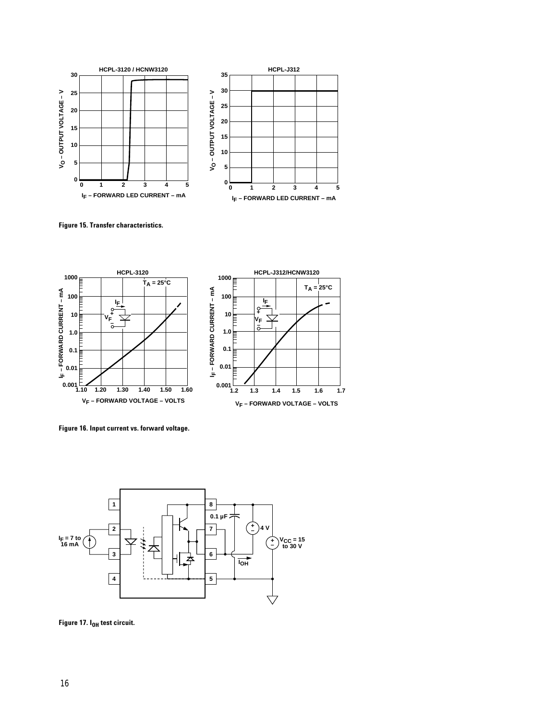

**Figure 15. Transfer characteristics.**



**Figure 16. Input current vs. forward voltage.**



Figure 17. I<sub>OH</sub> test circuit.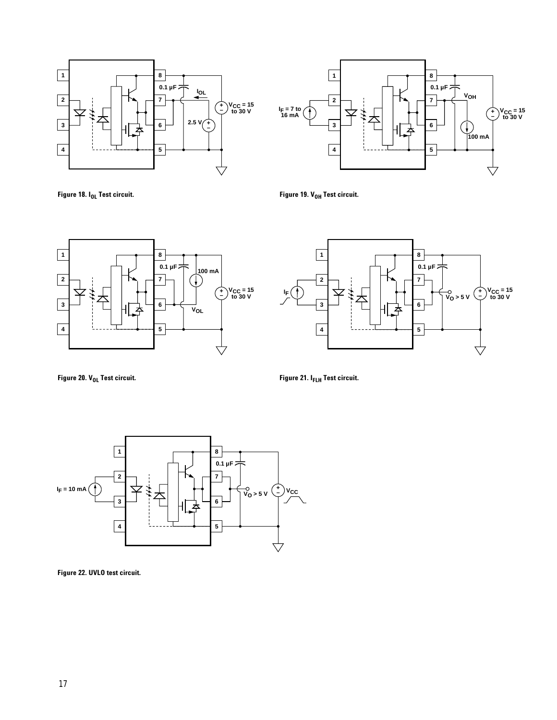



**Figure 18.** I<sub>OL</sub> Test circuit. **Compare 19.** V<sub>OH</sub> Test circuit.





Figure 20. V<sub>OL</sub> Test circuit. **Figure 21. I<sub>FLH</sub> Test circuit.** 



**Figure 22. UVLO test circuit.**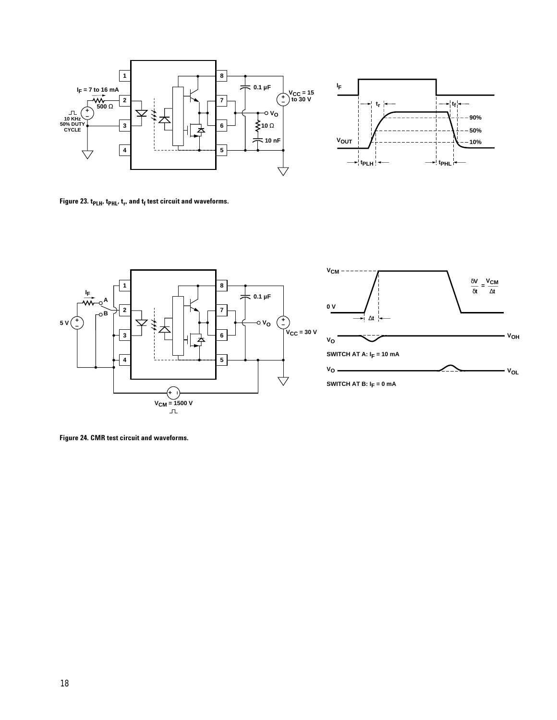



Figure 23. t<sub>PLH</sub>, t<sub>PHL</sub>, t<sub>r</sub>, and t<sub>f</sub> test circuit and waveforms.



**Figure 24. CMR test circuit and waveforms.**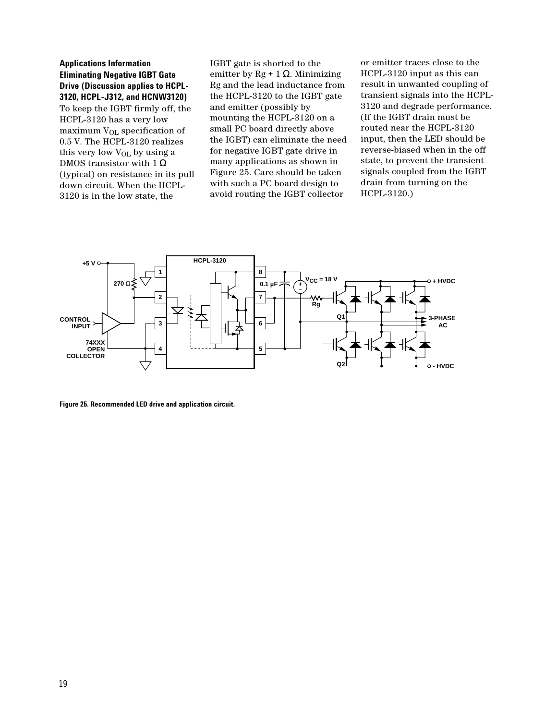### **Applications Information Eliminating Negative IGBT Gate Drive (Discussion applies to HCPL-3120, HCPL-J312, and HCNW3120)**

To keep the IGBT firmly off, the HCPL-3120 has a very low maximum VOL specification of 0.5 V. The HCPL-3120 realizes this very low  $V_{OL}$  by using a DMOS transistor with 1  $\Omega$ (typical) on resistance in its pull down circuit. When the HCPL-3120 is in the low state, the

IGBT gate is shorted to the emitter by Rg + 1  $\Omega$ . Minimizing Rg and the lead inductance from the HCPL-3120 to the IGBT gate and emitter (possibly by mounting the HCPL-3120 on a small PC board directly above the IGBT) can eliminate the need for negative IGBT gate drive in many applications as shown in Figure 25. Care should be taken with such a PC board design to avoid routing the IGBT collector

or emitter traces close to the HCPL-3120 input as this can result in unwanted coupling of transient signals into the HCPL-3120 and degrade performance. (If the IGBT drain must be routed near the HCPL-3120 input, then the LED should be reverse-biased when in the off state, to prevent the transient signals coupled from the IGBT drain from turning on the HCPL-3120.)



**Figure 25. Recommended LED drive and application circuit.**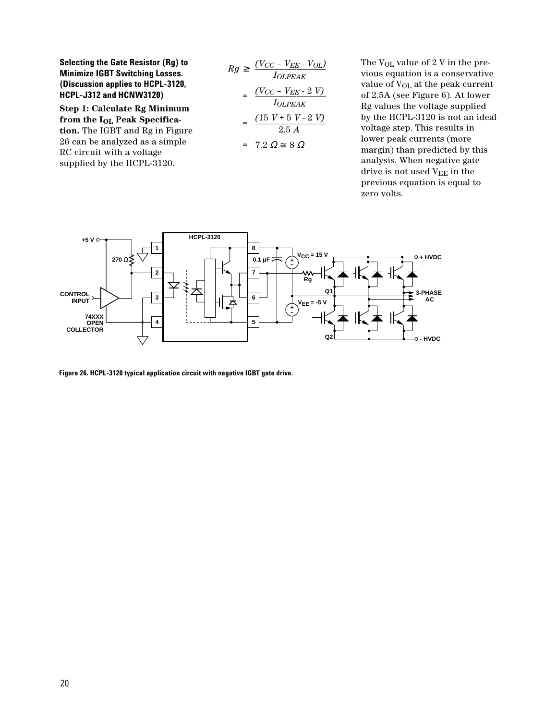**Selecting the Gate Resistor (Rg) to Minimize IGBT Switching Losses. (Discussion applies to HCPL-3120, HCPL-J312 and HCNW3120)**

**Step 1: Calculate Rg Minimum from the IOL Peak Specification.** The IGBT and Rg in Figure 26 can be analyzed as a simple RC circuit with a voltage supplied by the HCPL-3120.

$$
Rg \geq \frac{(V_{CC} - V_{EE} - V_{OL})}{I_{OLPEAK}}
$$

$$
= \frac{(V_{CC} - V_{EE} - 2 V)}{I_{OLPEAK}}
$$

$$
= \frac{(15 V + 5 V - 2 V)}{2.5 A}
$$

$$
= 7.2 \Omega \cong 8 \Omega
$$

The V<sub>OL</sub> value of 2 V in the previous equation is a conservative value of V<sub>OL</sub> at the peak current of 2.5A (see Figure 6). At lower Rg values the voltage supplied by the HCPL-3120 is not an ideal voltage step. This results in lower peak currents (more margin) than predicted by this analysis. When negative gate drive is not used V<sub>EE</sub> in the previous equation is equal to zero volts.



**Figure 26. HCPL-3120 typical application circuit with negative IGBT gate drive.**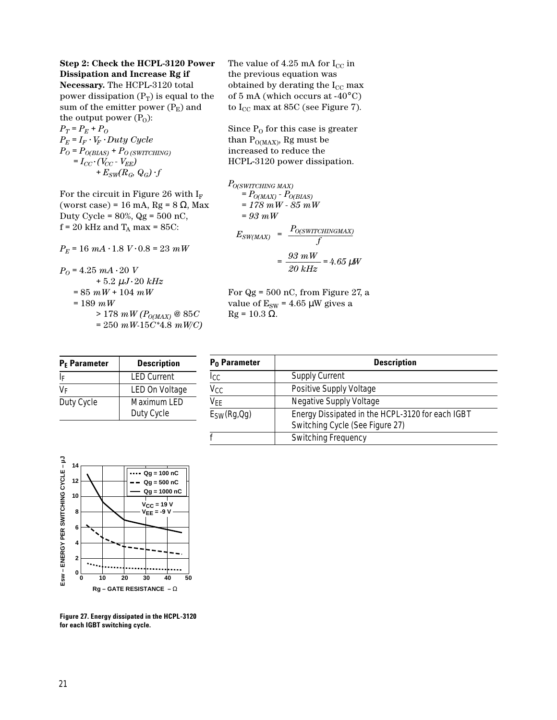# **Step 2: Check the HCPL-3120 Power Dissipation and Increase Rg if**

**Necessary.** The HCPL-3120 total power dissipation  $(P_T)$  is equal to the sum of the emitter power  $(P_E)$  and the output power  $(P_0)$ :  $P_T = P_E + P_O$  $P_E = I_F \cdot V_F \cdot Duty$  *Cycle* 

 $P_O = P_{O(BIAS)} + P_{O(SWITCHING)}$  $= I_{CC} \cdot (V_{CC} \cdot V_{EE})$  $+ E_{SW}(R_G, Q_G) \cdot f$ 

For the circuit in Figure 26 with  $I_F$ (worst case) = 16 mA, Rg =  $8 \Omega$ , Max Duty Cycle =  $80\%$ , Qg =  $500$  nC,  $f = 20$  kHz and  $T_A$  max = 85C:

 $P_E = 16$   $mA \cdot 1.8$   $V \cdot 0.8 = 23$   $mW$ 

 $P_0 = 4.25$   $mA \cdot 20$  *V*  $+ 5.2 \mu J \cdot 20 \ kHz$ *=* 85 *mW +* 104 *mW =* 189 *mW >* 178 *mW (PO(MAX) @* 85*C =* 250 *mW*-15*C\**4.8 *mW/C)*

**P<sub>E</sub> Parameter | Description** I<sub>F</sub> LED Current  $V_F$  LED On Voltage Duty Cycle | Maximum LED Duty Cycle

The value of 4.25 mA for  $I_{CC}$  in the previous equation was obtained by derating the  $I_{CC}$  max of 5 mA (which occurs at -40°C) to  $I_{CC}$  max at 85C (see Figure 7).

Since  $P_0$  for this case is greater than  $P_{\text{O}(MAX)}$ , Rg must be increased to reduce the HCPL-3120 power dissipation.

$$
P_{O(SWITCHING MAX)} = P_{O(MAX)} - P_{O(BIAS)} \n= 178 mW - 85 mW \n= 93 mW \nE_{SW(MAX)} = \frac{P_{O(SWITCHINGMAX)}}{f} \n= \frac{93 mW}{20 kHz} = 4.65 \mu
$$

For  $Qg = 500$  nC, from Figure 27, a value of  $E_{SW}$  = 4.65 µW gives a  $Rg = 10.3$  Ω.

| P <sub>0</sub> Parameter            | <b>Description</b>                                                                  |
|-------------------------------------|-------------------------------------------------------------------------------------|
| Iсс                                 | <b>Supply Current</b>                                                               |
| $\overline{\mathtt{V_{CC}}}$        | Positive Supply Voltage                                                             |
| $\overline{\mathsf{V}_\mathsf{FE}}$ | <b>Negative Supply Voltage</b>                                                      |
| E <sub>SW</sub> (Rg,Qg)             | Energy Dissipated in the HCPL-3120 for each IGBT<br>Switching Cycle (See Figure 27) |
|                                     | <b>Switching Frequency</b>                                                          |



**Figure 27. Energy dissipated in the HCPL-3120**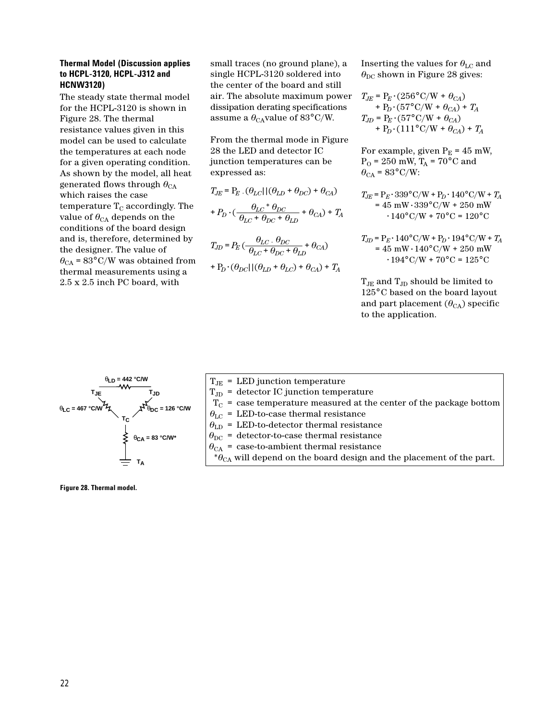#### **Thermal Model (Discussion applies to HCPL-3120, HCPL-J312 and HCNW3120)**

The steady state thermal model for the HCPL-3120 is shown in Figure 28. The thermal resistance values given in this model can be used to calculate the temperatures at each node for a given operating condition. As shown by the model, all heat generated flows through  $\theta_{CA}$ which raises the case temperature  $T_c$  accordingly. The value of  $\theta_{CA}$  depends on the conditions of the board design and is, therefore, determined by the designer. The value of  $\theta_{CA}$  = 83°C/W was obtained from thermal measurements using a 2.5 x 2.5 inch PC board, with

small traces (no ground plane), a single HCPL-3120 soldered into the center of the board and still air. The absolute maximum power dissipation derating specifications assume a  $\theta_{\rm CA}$ value of 83°C/W.

From the thermal mode in Figure 28 the LED and detector IC junction temperatures can be expressed as:

$$
T_{JE} = P_E . (\theta_{LC}) | (\theta_{LD} + \theta_{DC}) + \theta_{CA})
$$

$$
+ P_D . (\frac{\theta_{LC} * \theta_{DC}}{\theta_{LC} + \theta_{DC} + \theta_{LD}} + \theta_{CA}) + T_A
$$

$$
T_{JD} = P_E \left( \frac{\theta_{LC} \cdot \theta_{DC}}{\theta_{LC} + \theta_{DC} + \theta_{LD}} + \theta_{CA} \right)
$$

$$
+ P_D \cdot (\theta_{DC} || (\theta_{LD} + \theta_{LC}) + \theta_{CA}) + T_A
$$

Inserting the values for  $\theta_{\text{LC}}$  and  $\theta_{\rm DC}$  shown in Figure 28 gives:

$$
T_{JE} = P_E \cdot (256^{\circ} \text{ C/W} + \theta_{CA}) + P_D \cdot (57^{\circ} \text{ C/W} + \theta_{CA}) + T_A T_{JD} = P_E \cdot (57^{\circ} \text{ C/W} + \theta_{CA}) + P_D \cdot (111^{\circ} \text{ C/W} + \theta_{CA}) + T_A
$$

For example, given  $P_E = 45$  mW,  $P<sub>O</sub>$  = 250 mW,  $T<sub>A</sub>$  = 70°C and  $\theta_{CA}$  = 83°C/W:

 $T_{JE} = P_E \cdot 339^{\circ} C/W + P_D \cdot 140^{\circ} C/W + T_A$  $= 45$  mW $\cdot$ 339°C/W + 250 mW  $\cdot 140^{\circ}$  C/W + 70°C = 120°C

$$
T_{JD} = P_E \cdot 140^{\circ} \text{C/W} + P_D \cdot 194^{\circ} \text{C/W} + T_A
$$
  
= 45 mW \cdot 140^{\circ} \text{C/W} + 250 mW  

$$
\cdot 194^{\circ} \text{C/W} + 70^{\circ} \text{C} = 125^{\circ} \text{C}
$$

 $T_{\rm JE}$  and  $T_{\rm JD}$  should be limited to 125°C based on the board layout and part placement  $(\theta_{CA})$  specific to the application.



 $T_{\text{JE}}$  = LED junction temperature  $T_{JD}$  = detector IC junction temperature  $T_C$  = case temperature measured at the center of the package bottom  $\theta_{\text{LC}}$  = LED-to-case thermal resistance  $\theta_{\text{LD}}$  = LED-to-detector thermal resistance  $\theta_{\rm DC}$  = detector-to-case thermal resistance  $\theta_{\text{CA}}$  = case-to-ambient thermal resistance  ${}^{*}\theta_{\text{CA}}$  will depend on the board design and the placement of the part.

**Figure 28. Thermal model.**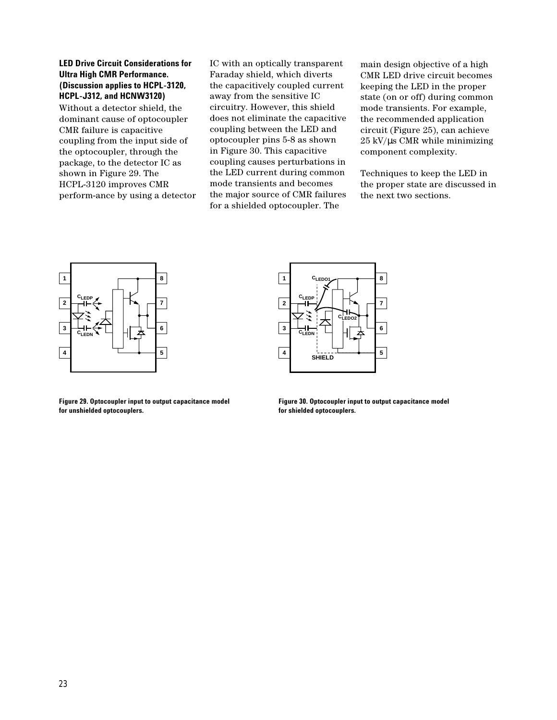#### **LED Drive Circuit Considerations for Ultra High CMR Performance. (Discussion applies to HCPL-3120, HCPL-J312, and HCNW3120)**

Without a detector shield, the dominant cause of optocoupler CMR failure is capacitive coupling from the input side of the optocoupler, through the package, to the detector IC as shown in Figure 29. The HCPL-3120 improves CMR perform-ance by using a detector IC with an optically transparent Faraday shield, which diverts the capacitively coupled current away from the sensitive IC circuitry. However, this shield does not eliminate the capacitive coupling between the LED and optocoupler pins 5-8 as shown in Figure 30. This capacitive coupling causes perturbations in the LED current during common mode transients and becomes the major source of CMR failures for a shielded optocoupler. The

main design objective of a high CMR LED drive circuit becomes keeping the LED in the proper state (on or off) during common mode transients. For example, the recommended application circuit (Figure 25), can achieve  $25 \text{ kV/}\mu\text{s}$  CMR while minimizing component complexity.

Techniques to keep the LED in the proper state are discussed in the next two sections.



**Figure 29. Optocoupler input to output capacitance model for unshielded optocouplers.**



**Figure 30. Optocoupler input to output capacitance model for shielded optocouplers.**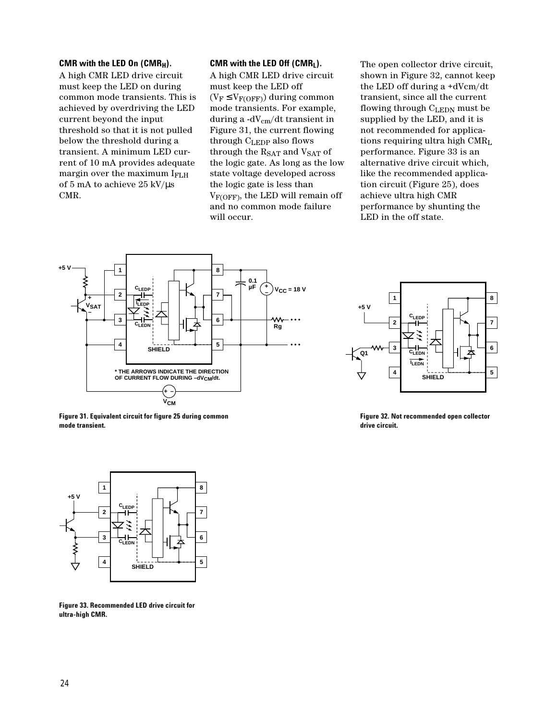#### **CMR with the LED On (CMRH).**

A high CMR LED drive circuit must keep the LED on during common mode transients. This is achieved by overdriving the LED current beyond the input threshold so that it is not pulled below the threshold during a transient. A minimum LED current of 10 mA provides adequate margin over the maximum IFLH of 5 mA to achieve 25 kV/µs CMR.

#### **CMR with the LED Off (CMRL).**

A high CMR LED drive circuit must keep the LED off  $(V_F \leq V_{F(OFF)})$  during common mode transients. For example, during a -dVcm/dt transient in Figure 31, the current flowing through CLEDP also flows through the  $R_{SAT}$  and  $V_{SAT}$  of the logic gate. As long as the low state voltage developed across the logic gate is less than  $V_{F(OFF)}$ , the LED will remain off and no common mode failure will occur.

The open collector drive circuit, shown in Figure 32, cannot keep the LED off during a +dVcm/dt transient, since all the current flowing through CLEDN must be supplied by the LED, and it is not recommended for applications requiring ultra high CMRL performance. Figure 33 is an alternative drive circuit which, like the recommended application circuit (Figure 25), does achieve ultra high CMR performance by shunting the LED in the off state.



**Figure 31. Equivalent circuit for figure 25 during common mode transient.**



**Figure 32. Not recommended open collector drive circuit.**



**Figure 33. Recommended LED drive circuit for ultra-high CMR.**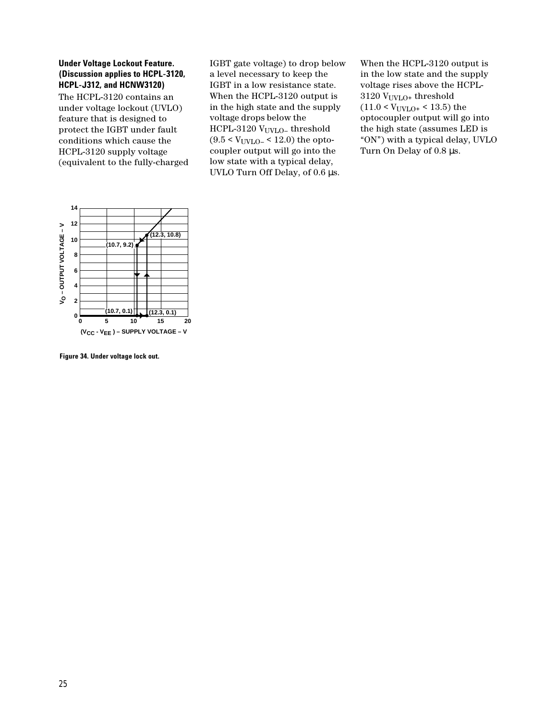#### **Under Voltage Lockout Feature. (Discussion applies to HCPL-3120, HCPL-J312, and HCNW3120)**

The HCPL-3120 contains an under voltage lockout (UVLO) feature that is designed to protect the IGBT under fault conditions which cause the HCPL-3120 supply voltage (equivalent to the fully-charged IGBT gate voltage) to drop below a level necessary to keep the IGBT in a low resistance state. When the HCPL-3120 output is in the high state and the supply voltage drops below the HCPL-3120 V<sub>UVLO</sub>-threshold  $(9.5 < V_{UVLO} < 12.0)$  the optocoupler output will go into the low state with a typical delay, UVLO Turn Off Delay, of 0.6  $\mu$ s.

When the HCPL-3120 output is in the low state and the supply voltage rises above the HCPL- $3120$  V<sub>UVLO</sub>+ threshold  $(11.0 \le V_{UVLO+} \le 13.5)$  the optocoupler output will go into the high state (assumes LED is "ON") with a typical delay, UVLO Turn On Delay of 0.8 µs.



**Figure 34. Under voltage lock out.**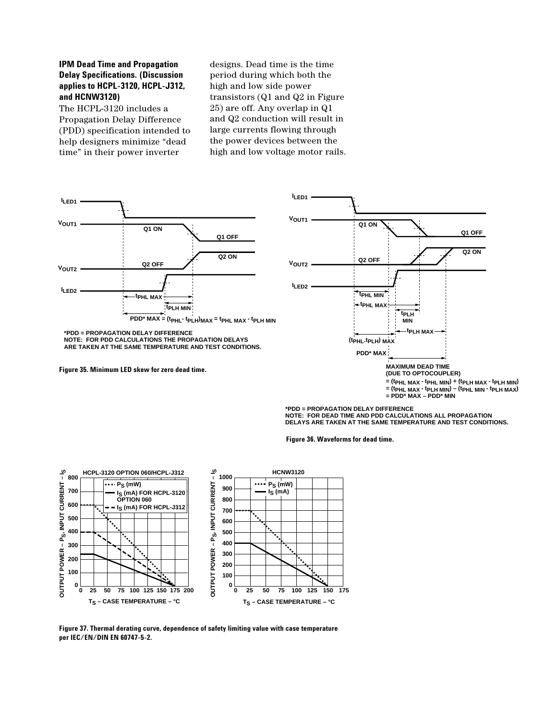### **IPM Dead Time and Propagation Delay Specifications. (Discussion applies to HCPL-3120, HCPL-J312, and HCNW3120)**

The HCPL-3120 includes a Propagation Delay Difference (PDD) specification intended to help designers minimize "dead time" in their power inverter

designs. Dead time is the time period during which both the high and low side power transistors (Q1 and Q2 in Figure 25) are off. Any overlap in Q1 and Q2 conduction will result in large currents flowing through the power devices between the high and low voltage motor rails.



**\*PDD = PROPAGATION DELAY DIFFERENCE NOTE: FOR DEAD TIME AND PDD CALCULATIONS ALL PROPAGATION DELAYS ARE TAKEN AT THE SAME TEMPERATURE AND TEST CONDITIONS.**

**Figure 36. Waveforms for dead time.**



**Figure 37. Thermal derating curve, dependence of safety limiting value with case temperature per IEC/EN/DIN EN 60747-5-2.**